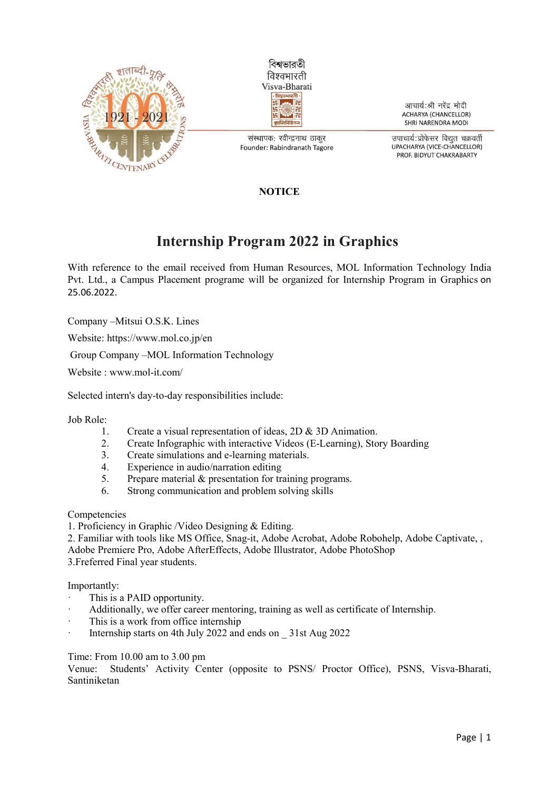



संस्थापक: रवीन्द्रनाथ ठाकुर Founder: Rabindranath Tagore

आचार्य:श्री नरेंद्र मोदी **ACHARYA (CHANCELLOR)** SHRI NARENDRA MODI

उपाचार्य:प्रोफेसर विद्यत चक्रवर्ती UPACHARYA (VICE-CHANCELLOR) PROF. BIDYUT CHAKRABARTY

## **NOTICE**

## Internship Program 2022 in Graphics

With reference to the email received from Human Resources, MOL Information Technology India Pvt. Ltd., a Campus Placement programe will be organized for Internship Program in Graphics on 25.06.2022.

Company –Mitsui O.S.K. Lines

Website: https://www.mol.co.jp/en

Group Company –MOL Information Technology

Website : www.mol-it.com/

Selected intern's day-to-day responsibilities include:

Job Role:

- 1. Create a visual representation of ideas, 2D & 3D Animation.
- 2. Create Infographic with interactive Videos (E-Learning), Story Boarding
- 3. Create simulations and e-learning materials.
- 4. Experience in audio/narration editing
- 5. Prepare material & presentation for training programs.
- 6. Strong communication and problem solving skills

Competencies

1. Proficiency in Graphic /Video Designing & Editing.

2. Familiar with tools like MS Office, Snag-it, Adobe Acrobat, Adobe Robohelp, Adobe Captivate, , Adobe Premiere Pro, Adobe AfterEffects, Adobe Illustrator, Adobe PhotoShop

3.Freferred Final year students.

Importantly:

- This is a PAID opportunity.
- · Additionally, we offer career mentoring, training as well as certificate of Internship.
- This is a work from office internship
- Internship starts on 4th July 2022 and ends on 31st Aug 2022

Time: From 10.00 am to 3.00 pm

Venue: Students' Activity Center (opposite to PSNS/ Proctor Office), PSNS, Visva-Bharati, Santiniketan